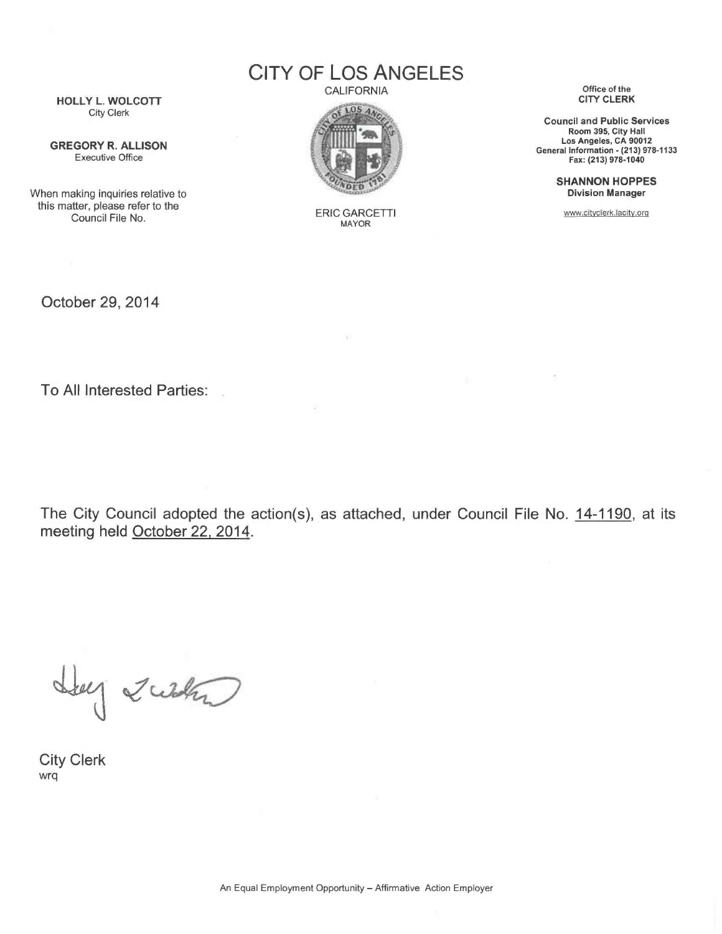CITY OF LOS ANGELES

HOLLY L. WOLCOTT City Clerk

GREGORY R. ALLISON Executive Office

When making inquiries relative to this matter, please refer to the Council File No.

**CALIFORNIA** 



ERIC GARCETTI MAYOR

 $\mathbf{x}$ 

Office of the CITY CLERK

Council and Public Services Room 395, City Hall Los Angeles, CA 90012 General Information - (213) 978-1133 Fax: (213) 978-1040

> SHANNON HOPPES Division Manager

www.cityclerk.lacity.orq

October 29, 2014

To All Interested Parties:

The City Council adopted the action(s), as attached, under Council File No. 14-1190, at its meeting held October 22, 2014.

Hey Zuth

City Clerk wrq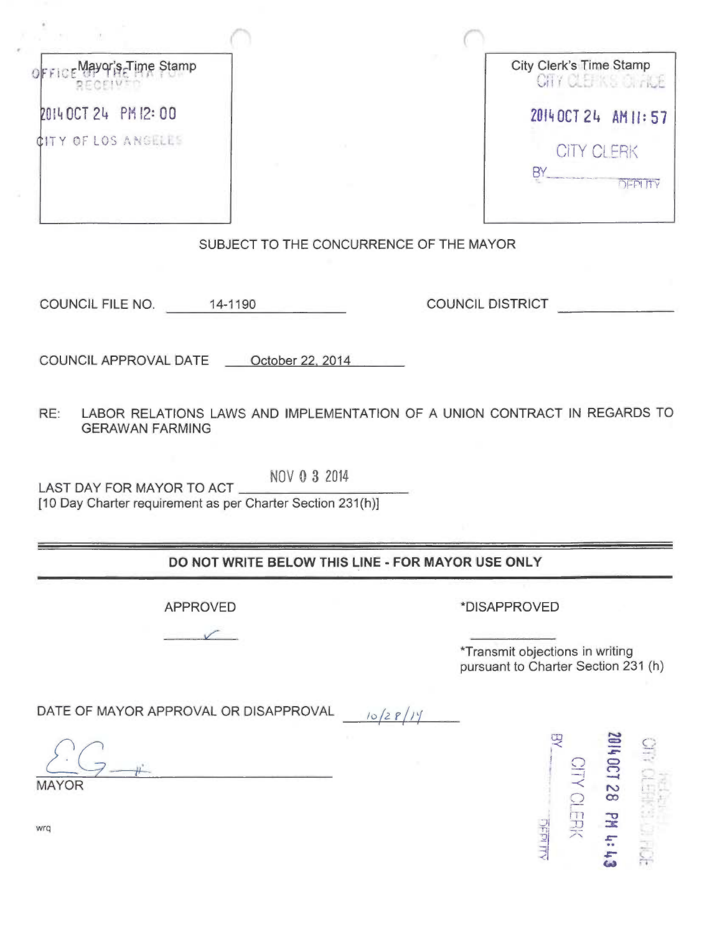| City Clerk's Time Stamp<br>Mayor's Time Stamp<br>CITY CLEAKS OF ACE<br>2014 OCT 24 PM 12:00<br>2014 OCT 24 AM 11:57<br>CITY OF LOS ANGELES<br><b>CITY CLERK</b><br>BY<br>SUBJECT TO THE CONCURRENCE OF THE MAYOR<br><b>COUNCIL DISTRICT</b><br>COUNCIL FILE NO. 14-1190<br>COUNCIL APPROVAL DATE ____ October 22, 2014<br>RE:<br>LABOR RELATIONS LAWS AND IMPLEMENTATION OF A UNION CONTRACT IN REGARDS TO<br><b>GERAWAN FARMING</b><br>NOV 0 3 2014<br>LAST DAY FOR MAYOR TO ACT<br>[10 Day Charter requirement as per Charter Section 231(h)]<br>DO NOT WRITE BELOW THIS LINE - FOR MAYOR USE ONLY<br>*DISAPPROVED<br><b>APPROVED</b><br>*Transmit objections in writing<br>pursuant to Charter Section 231 (h)<br>DATE OF MAYOR APPROVAL OR DISAPPROVAL<br>10/28<br><b>D</b><br>2014007128<br><b>SITY CLERK</b><br><b>MAYOR</b><br><b>PM til be</b><br><b>DEPITY</b><br>wrq |  |
|--------------------------------------------------------------------------------------------------------------------------------------------------------------------------------------------------------------------------------------------------------------------------------------------------------------------------------------------------------------------------------------------------------------------------------------------------------------------------------------------------------------------------------------------------------------------------------------------------------------------------------------------------------------------------------------------------------------------------------------------------------------------------------------------------------------------------------------------------------------------------------|--|
|                                                                                                                                                                                                                                                                                                                                                                                                                                                                                                                                                                                                                                                                                                                                                                                                                                                                                |  |
|                                                                                                                                                                                                                                                                                                                                                                                                                                                                                                                                                                                                                                                                                                                                                                                                                                                                                |  |
|                                                                                                                                                                                                                                                                                                                                                                                                                                                                                                                                                                                                                                                                                                                                                                                                                                                                                |  |
|                                                                                                                                                                                                                                                                                                                                                                                                                                                                                                                                                                                                                                                                                                                                                                                                                                                                                |  |
|                                                                                                                                                                                                                                                                                                                                                                                                                                                                                                                                                                                                                                                                                                                                                                                                                                                                                |  |
|                                                                                                                                                                                                                                                                                                                                                                                                                                                                                                                                                                                                                                                                                                                                                                                                                                                                                |  |
|                                                                                                                                                                                                                                                                                                                                                                                                                                                                                                                                                                                                                                                                                                                                                                                                                                                                                |  |
|                                                                                                                                                                                                                                                                                                                                                                                                                                                                                                                                                                                                                                                                                                                                                                                                                                                                                |  |
|                                                                                                                                                                                                                                                                                                                                                                                                                                                                                                                                                                                                                                                                                                                                                                                                                                                                                |  |
|                                                                                                                                                                                                                                                                                                                                                                                                                                                                                                                                                                                                                                                                                                                                                                                                                                                                                |  |
|                                                                                                                                                                                                                                                                                                                                                                                                                                                                                                                                                                                                                                                                                                                                                                                                                                                                                |  |
|                                                                                                                                                                                                                                                                                                                                                                                                                                                                                                                                                                                                                                                                                                                                                                                                                                                                                |  |
|                                                                                                                                                                                                                                                                                                                                                                                                                                                                                                                                                                                                                                                                                                                                                                                                                                                                                |  |
|                                                                                                                                                                                                                                                                                                                                                                                                                                                                                                                                                                                                                                                                                                                                                                                                                                                                                |  |
|                                                                                                                                                                                                                                                                                                                                                                                                                                                                                                                                                                                                                                                                                                                                                                                                                                                                                |  |
|                                                                                                                                                                                                                                                                                                                                                                                                                                                                                                                                                                                                                                                                                                                                                                                                                                                                                |  |
|                                                                                                                                                                                                                                                                                                                                                                                                                                                                                                                                                                                                                                                                                                                                                                                                                                                                                |  |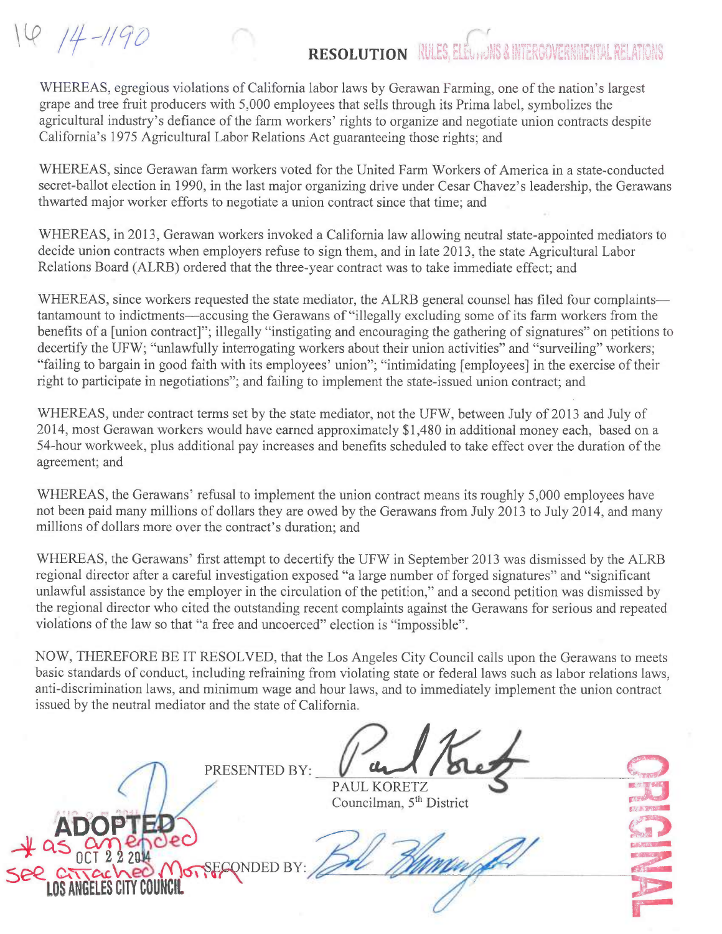16 14-1190

## r RESOLUTION RULES, ELEUTIONS & INTERGOVERNMENTAL RE

WHEREAS, egregious violations of California labor laws by Gerawan Farming, one of the nation's largest grape and tree fruit producers with 5,000 employees that sells through its Prima label, symbolizes the agricultural industry's defiance of the farm workers' rights to organize and negotiate union contracts despite California's 1975 Agricultural Labor Relations Act guaranteeing those rights; and

WHEREAS, since Gerawan farm workers voted for the United Farm Workers of America in a state-conducted secret-ballot election in 1990, in the last major organizing drive under Cesar Chavez's leadership, the Gerawans thwarted major worker efforts to negotiate a union contract since that time; and

WHEREAS, in 2013, Gerawan workers invoked a California law allowing neutral state-appointed mediators to decide union contracts when employers refuse to sign them, and in late 2013, the state Agricultural Labor Relations Board (ALRB) ordered that the three-year contract was to take immediate effect; and

WHEREAS, since workers requested the state mediator, the ALRB general counsel has filed four complaints tantamount to indictments—accusing the Gerawans of "illegally excluding some of its farm workers from the benefits of a [union contract]"; illegally "instigating and encouraging the gathering of signatures" on petitions to decertify the UFW; "unlawfully interrogating workers about their union activities" and "surveiling" workers; "failing to bargain in good faith with its employees' union"; "intimidating [employees] in the exercise of their right to participate in negotiations"; and failing to implement the state-issued union contract; and

WHEREAS, under contract terms set by the state mediator, not the UFW, between July of 2013 and July of 2014, most Gerawan workers would have earned approximately \$1,480 in additional money each, based on a 54-hour workweek, plus additional pay increases and benefits scheduled to take effect over the duration of the agreement; and

WHEREAS, the Gerawans' refusal to implement the union contract means its roughly 5,000 employees have not been paid many millions of dollars they are owed by the Gerawans from July 2013 to July 2014, and many millions of dollars more over the contract's duration; and

WHEREAS, the Gerawans' first attempt to decertify the UFW in September 2013 was dismissed by the ALRB regional director after a careful investigation exposed "a large number of forged signatures" and "significant unlawful assistance by the employer in the circulation of the petition," and a second petition was dismissed by the regional director who cited the outstanding recent complaints against the Gerawans for serious and repeated violations of the law so that "a free and uncoerced" election is "impossible".

NOW, THEREFORE BE IT RESOLVED, that the Los Angeles City Council calls upon the Gerawans to meets basic standards of conduct, including refraining from violating state or federal laws such as labor relations laws, anti-discrimination laws, and minimum wage and hour laws, and to immediately implement the union contract issued by the neutral mediator and the state of California.

PRESENTED BY:

?.e.,

LOS ANGELES CITY COUNCIL

 $\angle 4$  as  $_{0}^{0}$ 

PAUL KORETZ Councilman, 5<sup>th</sup> District

SECONDED BY